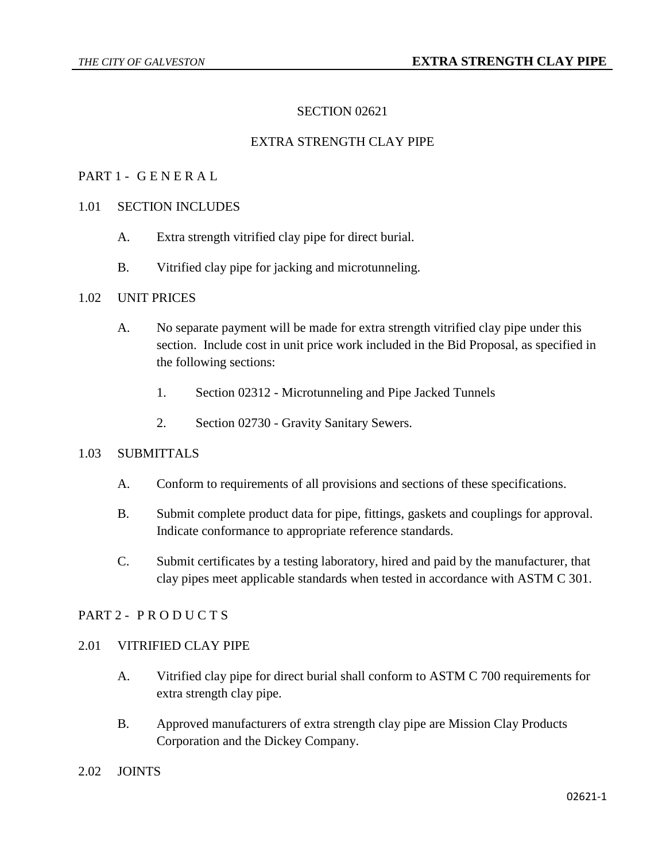# SECTION 02621

# EXTRA STRENGTH CLAY PIPE

#### PART 1 - G E N E R A L

#### 1.01 SECTION INCLUDES

- A. Extra strength vitrified clay pipe for direct burial.
- B. Vitrified clay pipe for jacking and microtunneling.

#### 1.02 UNIT PRICES

- A. No separate payment will be made for extra strength vitrified clay pipe under this section. Include cost in unit price work included in the Bid Proposal, as specified in the following sections:
	- 1. Section 02312 Microtunneling and Pipe Jacked Tunnels
	- 2. Section 02730 Gravity Sanitary Sewers.

#### 1.03 SUBMITTALS

- A. Conform to requirements of all provisions and sections of these specifications.
- B. Submit complete product data for pipe, fittings, gaskets and couplings for approval. Indicate conformance to appropriate reference standards.
- C. Submit certificates by a testing laboratory, hired and paid by the manufacturer, that clay pipes meet applicable standards when tested in accordance with ASTM C 301.

# PART 2 - PRODUCTS

#### 2.01 VITRIFIED CLAY PIPE

- A. Vitrified clay pipe for direct burial shall conform to ASTM C 700 requirements for extra strength clay pipe.
- B. Approved manufacturers of extra strength clay pipe are Mission Clay Products Corporation and the Dickey Company.
- 2.02 JOINTS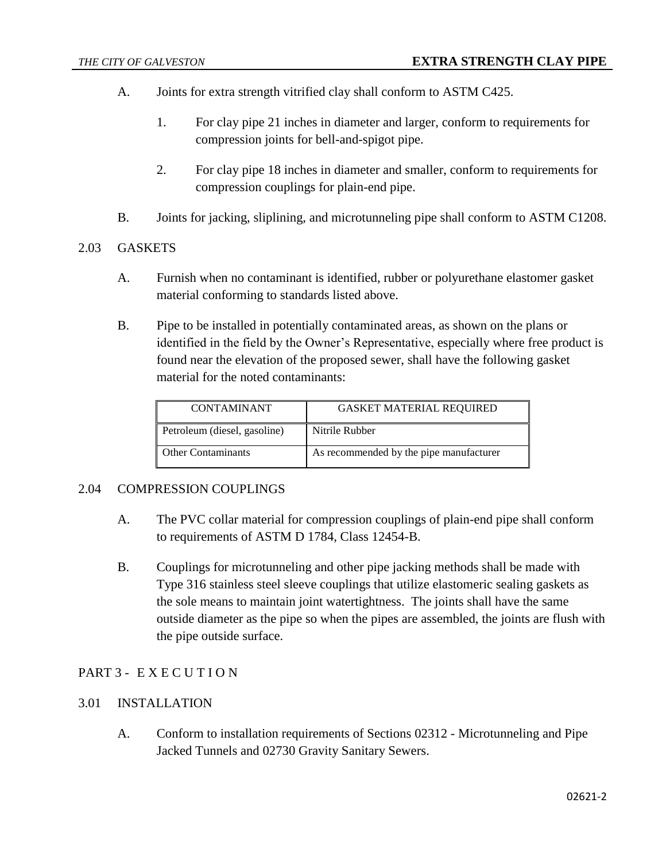- A. Joints for extra strength vitrified clay shall conform to ASTM C425.
	- 1. For clay pipe 21 inches in diameter and larger, conform to requirements for compression joints for bell-and-spigot pipe.
	- 2. For clay pipe 18 inches in diameter and smaller, conform to requirements for compression couplings for plain-end pipe.
- B. Joints for jacking, sliplining, and microtunneling pipe shall conform to ASTM C1208.

# 2.03 GASKETS

- A. Furnish when no contaminant is identified, rubber or polyurethane elastomer gasket material conforming to standards listed above.
- B. Pipe to be installed in potentially contaminated areas, as shown on the plans or identified in the field by the Owner's Representative, especially where free product is found near the elevation of the proposed sewer, shall have the following gasket material for the noted contaminants:

| <b>CONTAMINANT</b>           | <b>GASKET MATERIAL REQUIRED</b>         |
|------------------------------|-----------------------------------------|
| Petroleum (diesel, gasoline) | Nitrile Rubber                          |
| <b>Other Contaminants</b>    | As recommended by the pipe manufacturer |

# 2.04 COMPRESSION COUPLINGS

- A. The PVC collar material for compression couplings of plain-end pipe shall conform to requirements of ASTM D 1784, Class 12454-B.
- B. Couplings for microtunneling and other pipe jacking methods shall be made with Type 316 stainless steel sleeve couplings that utilize elastomeric sealing gaskets as the sole means to maintain joint watertightness. The joints shall have the same outside diameter as the pipe so when the pipes are assembled, the joints are flush with the pipe outside surface.

# PART 3 - EXECUTION

# 3.01 INSTALLATION

A. Conform to installation requirements of Sections 02312 - Microtunneling and Pipe Jacked Tunnels and 02730 Gravity Sanitary Sewers.